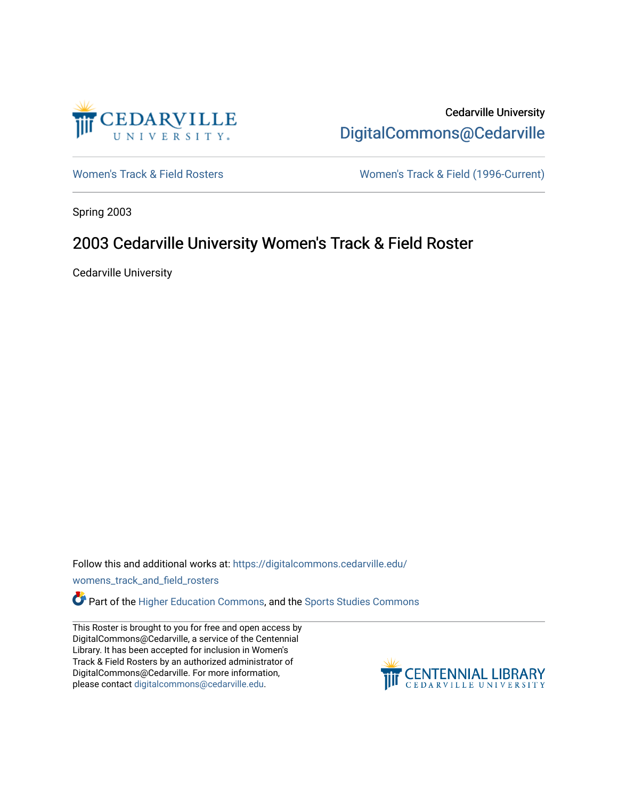

Cedarville University [DigitalCommons@Cedarville](https://digitalcommons.cedarville.edu/) 

[Women's Track & Field Rosters](https://digitalcommons.cedarville.edu/womens_track_and_field_rosters) Women's Track & Field (1996-Current)

Spring 2003

## 2003 Cedarville University Women's Track & Field Roster

Cedarville University

Follow this and additional works at: [https://digitalcommons.cedarville.edu/](https://digitalcommons.cedarville.edu/womens_track_and_field_rosters?utm_source=digitalcommons.cedarville.edu%2Fwomens_track_and_field_rosters%2F33&utm_medium=PDF&utm_campaign=PDFCoverPages)

[womens\\_track\\_and\\_field\\_rosters](https://digitalcommons.cedarville.edu/womens_track_and_field_rosters?utm_source=digitalcommons.cedarville.edu%2Fwomens_track_and_field_rosters%2F33&utm_medium=PDF&utm_campaign=PDFCoverPages) 

**C** Part of the [Higher Education Commons,](http://network.bepress.com/hgg/discipline/1245?utm_source=digitalcommons.cedarville.edu%2Fwomens_track_and_field_rosters%2F33&utm_medium=PDF&utm_campaign=PDFCoverPages) and the Sports Studies Commons

This Roster is brought to you for free and open access by DigitalCommons@Cedarville, a service of the Centennial Library. It has been accepted for inclusion in Women's Track & Field Rosters by an authorized administrator of DigitalCommons@Cedarville. For more information, please contact [digitalcommons@cedarville.edu](mailto:digitalcommons@cedarville.edu).